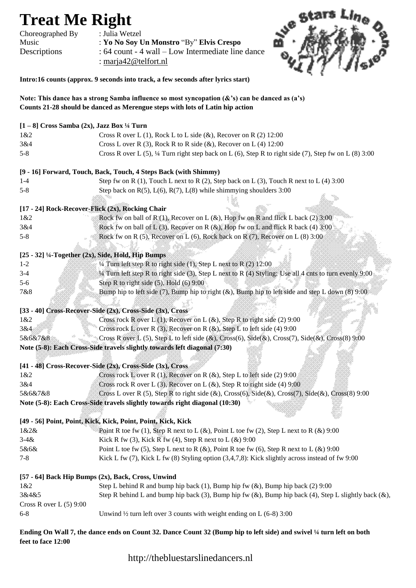## **Treat Me Right**<br>Choreographed By : Julia Wetzel

Choreographed By

Music : **Yo No Soy Un Monstro** "By" **Elvis Crespo** Descriptions : 64 count - 4 wall – Low Intermediate line dance



**Intro:16 counts (approx. 9 seconds into track, a few seconds after lyrics start)**

: marja42@telfort.nl

**Note: This dance has a strong Samba influence so most syncopation (&'s) can be danced as (a's) Counts 21-28 should be danced as Merengue steps with lots of Latin hip action** 

| $[1-8]$ Cross Samba $(2x)$ , Jazz Box 1/4 Turn                   |                                                                                                                  |
|------------------------------------------------------------------|------------------------------------------------------------------------------------------------------------------|
| 1&2                                                              | Cross R over L $(1)$ , Rock L to L side $(\&)$ , Recover on R $(2)$ 12:00                                        |
| 3&4                                                              | Cross L over R (3), Rock R to R side $(\&)$ , Recover on L (4) 12:00                                             |
| $5 - 8$                                                          | Cross R over L (5), $\frac{1}{4}$ Turn right step back on L (6), Step R to right side (7), Step fw on L (8) 3:00 |
| [9 - 16] Forward, Touch, Back, Touch, 4 Steps Back (with Shimmy) |                                                                                                                  |
| $1 - 4$                                                          | Step fw on R $(1)$ , Touch L next to R $(2)$ , Step back on L $(3)$ , Touch R next to L $(4)$ 3:00               |
| $5 - 8$                                                          | Step back on $R(5)$ , $L(6)$ , $R(7)$ , $L(8)$ while shimmying shoulders 3:00                                    |
| [17 - 24] Rock-Recover-Flick (2x), Rocking Chair                 |                                                                                                                  |
| 1&2                                                              | Rock fw on ball of R (1), Recover on L $(\&)$ , Hop fw on R and flick L back (2) 3:00                            |
| 3&4                                                              | Rock fw on ball of L (3), Recover on R (&), Hop fw on L and flick R back (4) $3:00$                              |
| $5 - 8$                                                          | Rock fw on R $(5)$ , Recover on L $(6)$ , Rock back on R $(7)$ , Recover on L $(8)$ 3:00                         |
|                                                                  |                                                                                                                  |
| [25 - 32] 1/4-Together (2x), Side, Hold, Hip Bumps               |                                                                                                                  |
| $1 - 2$                                                          | $\frac{1}{4}$ Turn left step R to right side (1), Step L next to R (2) 12:00                                     |
| $3-4$                                                            | 14 Turn left step R to right side (3), Step L next to R (4) Styling: Use all 4 cnts to turn evenly 9:00          |
| $5 - 6$                                                          | Step R to right side $(5)$ , Hold $(6)$ 9:00                                                                     |
| 7&8                                                              | Bump hip to left side (7), Bump hip to right (&), Bump hip to left side and step L down (8) 9:00                 |
|                                                                  |                                                                                                                  |
| [33 - 40] Cross-Recover-Side (2x), Cross-Side (3x), Cross        |                                                                                                                  |
| 1&2                                                              | Cross rock R over L (1), Recover on L $(\&)$ , Step R to right side (2) 9:00                                     |
| 3&4                                                              | Cross rock L over R (3), Recover on R $(\&)$ , Step L to left side (4) 9:00                                      |
| 5&6&7&8                                                          | Cross R over L (5), Step L to left side (&), Cross(6), Side(&), Cross(7), Side(&), Cross(8) 9:00                 |
|                                                                  | Note (5-8): Each Cross-Side travels slightly towards left diagonal (7:30)                                        |
|                                                                  |                                                                                                                  |
|                                                                  | [41 - 48] Cross-Recover-Side (2x), Cross-Side (3x), Cross                                                        |
| 1&2                                                              | Cross rock L over R (1), Recover on R $(\&)$ , Step L to left side (2) 9:00.                                     |
| 3&4                                                              | Cross rock R over L (3), Recover on L ( $\&$ ), Step R to right side (4) 9:00                                    |
| 5&6&7&8                                                          | Cross L over R (5), Step R to right side (&), Cross(6), Side(&), Cross(7), Side(&), Cross(8) 9:00                |
|                                                                  | Note (5-8): Each Cross-Side travels slightly towards right diagonal (10:30)                                      |
|                                                                  |                                                                                                                  |
|                                                                  | [49 - 56] Point, Point, Kick, Kick, Point, Point, Kick, Kick                                                     |
| 1&2&                                                             | Point R toe fw (1), Step R next to L (&), Point L toe fw (2), Step L next to R (&) 9:00                          |
| $3 - 4 &$                                                        | Kick R fw (3), Kick R fw (4), Step R next to $L$ ( $\&$ ) 9:00                                                   |
| 5&6&                                                             | Point L toe fw (5), Step L next to R (&), Point R toe fw (6), Step R next to L (&) 9:00                          |
| $7 - 8$                                                          | Kick L fw $(7)$ , Kick L fw $(8)$ Styling option $(3,4,7,8)$ : Kick slightly across instead of fw 9:00           |
| [57 - 64] Back Hip Bumps (2x), Back, Cross, Unwind               |                                                                                                                  |
| 1&82                                                             | Step L behind R and bump hip back (1), Bump hip fw (&), Bump hip back (2) 9:00                                   |
| 3&4&5                                                            | Step R behind L and bump hip back (3), Bump hip fw (&), Bump hip back (4), Step L slightly back (&),             |
| Cross R over $L(5)$ 9:00                                         |                                                                                                                  |
| $6 - 8$                                                          | Unwind $\frac{1}{2}$ turn left over 3 counts with weight ending on L (6-8) 3:00                                  |

**Ending On Wall 7, the dance ends on Count 32. Dance Count 32 (Bump hip to left side) and swivel ¼ turn left on both feet to face 12:00** 

http://thebluestarslinedancers.nl